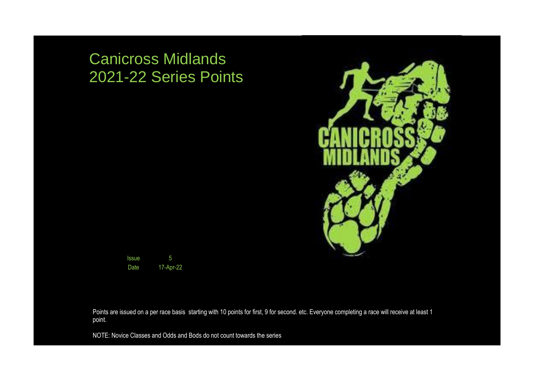## Canicross Midlands 2021-22 Series Points





Points are issued on a per race basis starting with 10 points for first, 9 for second. etc. Everyone completing a race will receive at least 1 point.

NOTE: Novice Classes and Odds and Bods do not count towards the series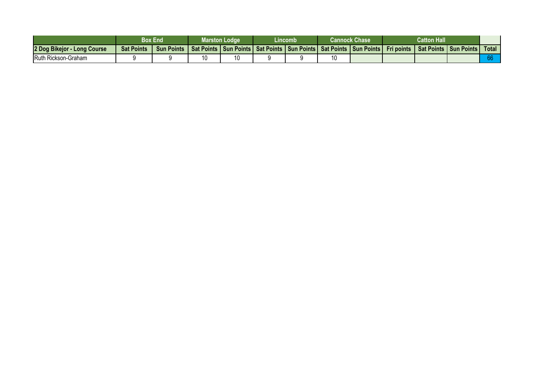|                                  |                                                                                                                                         | Box End | <b>Marston Lodge</b> | .incomb | Cannock Chase | <b>Catton Hall</b> |            |              |
|----------------------------------|-----------------------------------------------------------------------------------------------------------------------------------------|---------|----------------------|---------|---------------|--------------------|------------|--------------|
| 2 Dog Bikejor -<br>- Long Course | <b>Sat Points</b><br>Sun Points   Sat Points   Sun Points   Sat Points   Sun Points   Sat Points   Sun Points   Fri points   Sat Points |         |                      |         |               |                    | Sun Points | <b>Total</b> |
| Ruth Rickson-Graham              |                                                                                                                                         |         |                      |         |               |                    |            |              |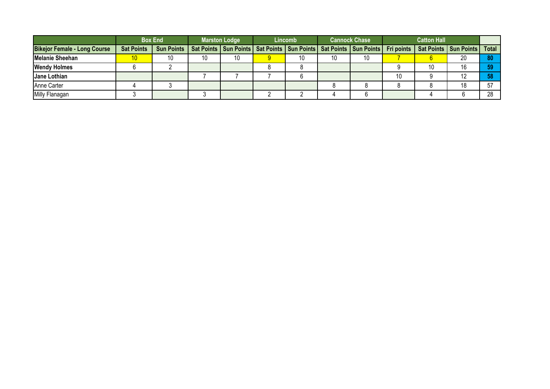|                                     |                   | <b>Box End</b>    |    | <b>Marston Lodge</b> | Lincomb |    | <b>Cannock Chase</b>                                                                                                       |    | <b>Catton Hall</b> |                |    |
|-------------------------------------|-------------------|-------------------|----|----------------------|---------|----|----------------------------------------------------------------------------------------------------------------------------|----|--------------------|----------------|----|
| <b>Bikejor Female - Long Course</b> | <b>Sat Points</b> | <b>Sun Points</b> |    |                      |         |    | Sat Points   Sun Points   Sat Points   Sun Points   Sat Points   Sun Points   Fri points   Sat Points   Sun Points   Total |    |                    |                |    |
| <b>Melanie Sheehan</b>              | 10                | 10                | 10 | 10                   | 10      | 10 | 10                                                                                                                         |    |                    | 20             |    |
| <b>Wendy Holmes</b>                 |                   |                   |    |                      |         |    |                                                                                                                            |    | 10                 | 16             | cΛ |
| Jane Lothian                        |                   |                   |    |                      |         |    |                                                                                                                            | 10 |                    | $\overline{1}$ |    |
| Anne Carter                         |                   |                   |    |                      |         |    |                                                                                                                            |    |                    |                | 57 |
| Milly Flanagan                      |                   |                   |    |                      |         |    |                                                                                                                            |    |                    |                | ററ |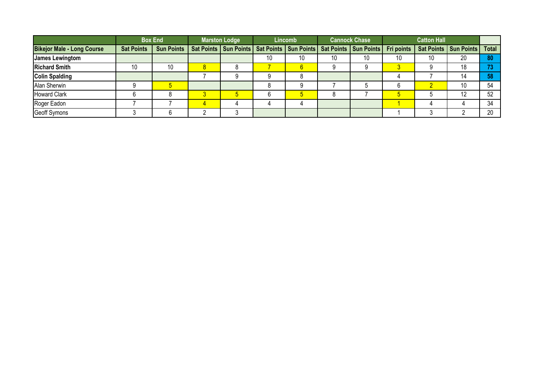|                                   |                   | <b>Box End</b>    | <b>Marston Lodge</b> |    | Lincomb |    | <b>Cannock Chase</b>                                                        |                   | <b>Catton Hall</b> |                         |              |
|-----------------------------------|-------------------|-------------------|----------------------|----|---------|----|-----------------------------------------------------------------------------|-------------------|--------------------|-------------------------|--------------|
| <b>Bikejor Male - Long Course</b> | <b>Sat Points</b> | <b>Sun Points</b> |                      |    |         |    | Sat Points   Sun Points   Sat Points   Sun Points   Sat Points   Sun Points | <b>Fri points</b> |                    | Sat Points   Sun Points | <b>Total</b> |
| James Lewingtom                   |                   |                   |                      | 10 | 10      | 10 | 10                                                                          | 10                | 10                 | 20                      | 80           |
| <b>Richard Smith</b>              | 10                | 10                |                      |    |         |    |                                                                             |                   |                    | 18                      | 73           |
| <b>Colin Spalding</b>             |                   |                   |                      |    |         |    |                                                                             |                   |                    |                         | 58           |
| Alan Sherwin                      |                   |                   |                      |    |         |    |                                                                             |                   |                    |                         | 54           |
| <b>Howard Clark</b>               |                   |                   |                      |    |         |    |                                                                             |                   |                    | $\overline{ }$          | 52           |
| Roger Eadon                       |                   |                   |                      |    |         |    |                                                                             |                   |                    |                         | 34           |
| <b>Geoff Symons</b>               |                   |                   |                      |    |         |    |                                                                             |                   |                    |                         | 20           |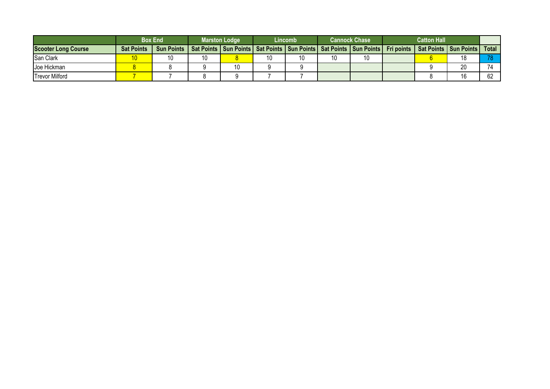|                            |                   | <b>Box End</b>                                                                                        | <b>Marston Lodge</b> |    | Lincomb |    | <b>Cannock Chase</b> | <b>Catton Hall</b> |                         |       |
|----------------------------|-------------------|-------------------------------------------------------------------------------------------------------|----------------------|----|---------|----|----------------------|--------------------|-------------------------|-------|
| <b>Scooter Long Course</b> | <b>Sat Points</b> | Sun Points   Sat Points   Sun Points   Sat Points   Sun Points   Sat Points   Sun Points   Fri points |                      |    |         |    |                      |                    | Sat Points   Sun Points | Total |
| San Clark                  |                   |                                                                                                       |                      | 10 |         | 10 | 10                   |                    |                         |       |
| Joe Hickman                |                   |                                                                                                       | 10                   |    |         |    |                      |                    | 20                      |       |
| <b>Trevor Milford</b>      |                   |                                                                                                       |                      |    |         |    |                      |                    |                         |       |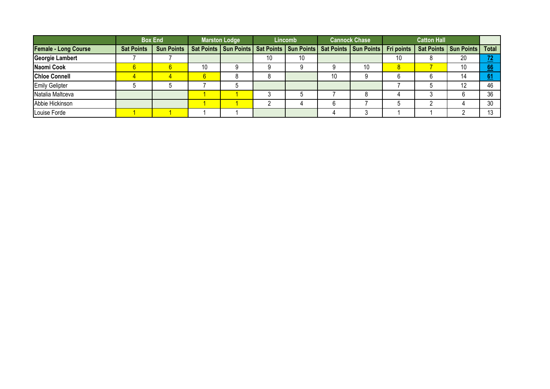|                             |                   | <b>Box End</b>    |    | <b>Marston Lodge</b> |    | <b>Lincomb</b> |    | <b>Cannock Chase</b>                                                        |    | <b>Catton Hall</b> |                                      |              |
|-----------------------------|-------------------|-------------------|----|----------------------|----|----------------|----|-----------------------------------------------------------------------------|----|--------------------|--------------------------------------|--------------|
| <b>Female - Long Course</b> | <b>Sat Points</b> | <b>Sun Points</b> |    |                      |    |                |    | Sat Points   Sun Points   Sat Points   Sun Points   Sat Points   Sun Points |    |                    | Fri points   Sat Points   Sun Points | Total        |
| Georgie Lambert             |                   |                   |    |                      | 10 | 10             |    |                                                                             | 10 |                    | 20                                   | 72<br>--     |
| Naomi Cook                  |                   |                   | 10 | O                    |    |                |    | 10                                                                          |    |                    | 10                                   | 66           |
| <b>Chloe Connell</b>        |                   |                   |    |                      |    |                | 10 |                                                                             |    |                    | 14                                   | 61<br>$\sim$ |
| <b>Emily Gelipter</b>       |                   |                   |    |                      |    |                |    |                                                                             |    |                    | 12                                   | 46           |
| Natalia Maltceva            |                   |                   |    |                      |    |                |    |                                                                             |    |                    |                                      | 36           |
| Abbie Hickinson             |                   |                   |    |                      |    |                |    |                                                                             |    |                    |                                      | 30           |
| Louise Forde                |                   |                   |    |                      |    |                |    |                                                                             |    |                    |                                      |              |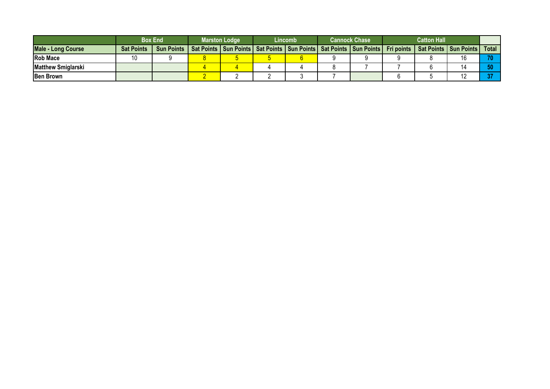|                           |                   | <b>Box End</b>    | <b>Marston Lodge</b>                                                                     | Lincomb | <b>Cannock Chase</b> | <b>Catton Hall</b> |                                  |       |
|---------------------------|-------------------|-------------------|------------------------------------------------------------------------------------------|---------|----------------------|--------------------|----------------------------------|-------|
| <b>Male - Long Course</b> | <b>Sat Points</b> | <b>Sun Points</b> | Sat Points   Sun Points   Sat Points   Sun Points   Sat Points   Sun Points   Fri points |         |                      |                    | <b>Sat Points   Sun Points  </b> | Total |
| <b>Rob Mace</b>           | 10                |                   |                                                                                          |         |                      |                    |                                  |       |
| <b>Matthew Smiglarski</b> |                   |                   |                                                                                          |         |                      |                    |                                  |       |
| <b>IBen Brown</b>         |                   |                   |                                                                                          |         |                      |                    |                                  |       |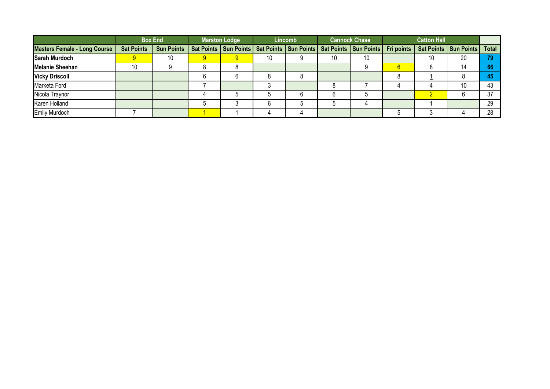|                                     |                   | <b>Box End</b>    | <b>Marston Lodge</b> |    | <b>Lincomb</b> |    | <b>Cannock Chase</b>                                                        | <b>Catton Hall</b> |                                      |       |
|-------------------------------------|-------------------|-------------------|----------------------|----|----------------|----|-----------------------------------------------------------------------------|--------------------|--------------------------------------|-------|
| <b>Masters Female - Long Course</b> | <b>Sat Points</b> | <b>Sun Points</b> |                      |    |                |    | Sat Points   Sun Points   Sat Points   Sun Points   Sat Points   Sun Points |                    | Fri points   Sat Points   Sun Points | Total |
| <b>Sarah Murdoch</b>                |                   | 10                | 9                    | 10 |                | 10 | 10                                                                          | 10                 | 20                                   | 70    |
| <b>Melanie Sheehan</b>              | 10                |                   |                      |    |                |    |                                                                             |                    | 14                                   | 66    |
| <b>Vicky Driscoll</b>               |                   |                   |                      |    |                |    |                                                                             |                    |                                      |       |
| Marketa Ford                        |                   |                   |                      |    |                |    |                                                                             |                    | 10                                   |       |
| Nicola Traynor                      |                   |                   |                      |    |                |    |                                                                             |                    |                                      | 37    |
| Karen Holland                       |                   |                   |                      |    |                |    |                                                                             |                    |                                      | 29    |
| <b>Emily Murdoch</b>                |                   |                   |                      |    |                |    |                                                                             |                    |                                      | 28    |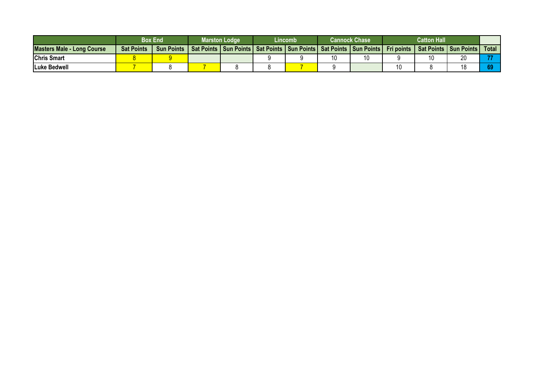|                                   |                   | Box End           | Marston Lodge | Lincomb |    | <b>Cannock Chase</b>                                                        |                   | <b>Catton Hall</b> |                         |       |
|-----------------------------------|-------------------|-------------------|---------------|---------|----|-----------------------------------------------------------------------------|-------------------|--------------------|-------------------------|-------|
| <b>Masters Male - Long Course</b> | <b>Sat Points</b> | <b>Sun Points</b> |               |         |    | Sat Points   Sun Points   Sat Points   Sun Points   Sat Points   Sun Points | <b>Fri points</b> |                    | Sat Points   Sun Points | Total |
| <b>Chris Smart</b>                |                   |                   |               |         | 10 | 10                                                                          |                   | 10                 | $\sim$                  |       |
| <b>ILuke Bedwell</b>              |                   |                   |               |         |    |                                                                             |                   |                    |                         |       |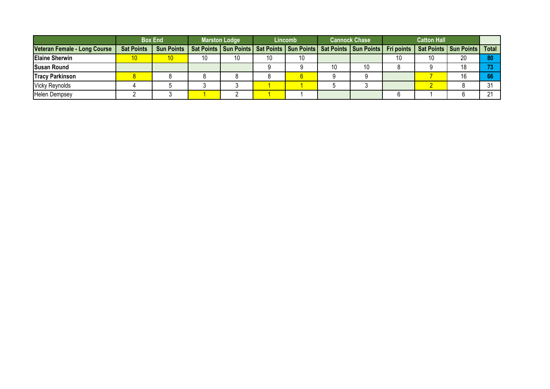|                              |                   | <b>Box End</b>    |    | <b>Marston Lodge</b> |    | Lincomb |    | <b>Cannock Chase</b> |    | <b>Catton Hall</b> |                                                                                                                            |        |
|------------------------------|-------------------|-------------------|----|----------------------|----|---------|----|----------------------|----|--------------------|----------------------------------------------------------------------------------------------------------------------------|--------|
| Veteran Female - Long Course | <b>Sat Points</b> | <b>Sun Points</b> |    |                      |    |         |    |                      |    |                    | Sat Points   Sun Points   Sat Points   Sun Points   Sat Points   Sun Points   Fri points   Sat Points   Sun Points   Total |        |
| <b>Elaine Sherwin</b>        | 10                |                   | 10 | 10                   | 10 |         |    |                      | 10 | 10                 | 20                                                                                                                         | 80     |
| <b>Susan Round</b>           |                   |                   |    |                      |    |         | 10 | 10                   |    |                    |                                                                                                                            |        |
| <b>Tracy Parkinson</b>       |                   |                   |    |                      |    |         |    |                      |    |                    |                                                                                                                            | 66     |
| <b>Vicky Reynolds</b>        |                   |                   |    |                      |    |         |    |                      |    |                    |                                                                                                                            | ^ 1    |
| <b>Helen Dempsey</b>         |                   |                   |    |                      |    |         |    |                      |    |                    |                                                                                                                            | $\sim$ |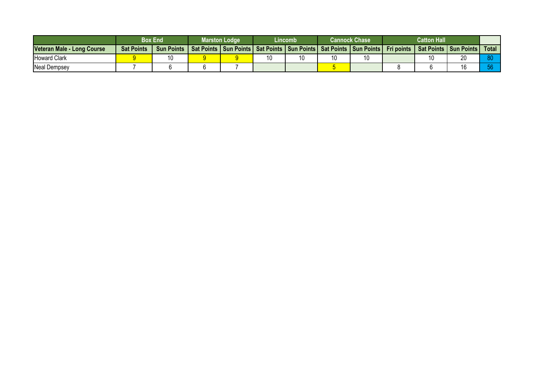|                            | <b>Box End</b>    |                   | <b>Marston Lodge</b> | Lincomb |    | <b>Cannock Chase</b>                                                            | <b>Catton Hall</b> |                                               |       |
|----------------------------|-------------------|-------------------|----------------------|---------|----|---------------------------------------------------------------------------------|--------------------|-----------------------------------------------|-------|
| Veteran Male - Long Course | <b>Sat Points</b> | <b>Sun Points</b> |                      |         |    | Sat Points   Sun Points   Sat Points   Sun Points   Sat Points   Sun Points   I |                    | <b>Fri points   Sat Points   Sun Points  </b> | Total |
| <b>Howard Clark</b>        |                   | 10                |                      | 10      | 10 |                                                                                 | 10                 | $\sim$                                        |       |
| <b>Neal Dempsey</b>        |                   |                   |                      |         |    |                                                                                 |                    |                                               |       |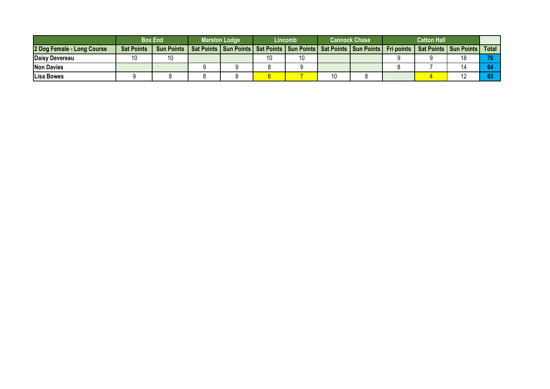|                            |                   | <b>Box End</b>    | <b>Marston Lodge</b> | Lincomb |    | <b>Cannock Chase</b>                                                                                               | <b>Catton Hall</b> |       |
|----------------------------|-------------------|-------------------|----------------------|---------|----|--------------------------------------------------------------------------------------------------------------------|--------------------|-------|
| 2 Dog Female - Long Course | <b>Sat Points</b> | <b>Sun Points</b> |                      |         |    | Sat Points   Sun Points   Sat Points   Sun Points   Sat Points   Sun Points   Fri points   Sat Points   Sun Points |                    | Total |
| Daisy Devereau             | 10                | 10                |                      |         |    |                                                                                                                    |                    |       |
| <b>Non Davies</b>          |                   |                   |                      |         |    |                                                                                                                    |                    |       |
| <b>ILisa Bowes</b>         |                   |                   |                      |         | 10 |                                                                                                                    |                    |       |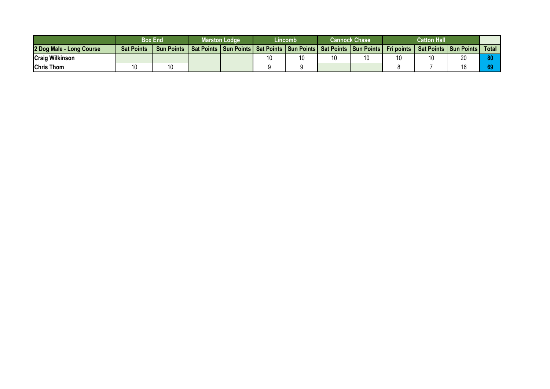|                          |                   | <b>Box End</b>    | Marston Lodge | Lincomb |    | <b>Cannock Chase</b>                                                        | <b>Catton Hall</b> |                                      |       |
|--------------------------|-------------------|-------------------|---------------|---------|----|-----------------------------------------------------------------------------|--------------------|--------------------------------------|-------|
| 2 Dog Male - Long Course | <b>Sat Points</b> | <b>Sun Points</b> |               |         |    | Sat Points   Sun Points   Sat Points   Sun Points   Sat Points   Sun Points |                    | Fri points   Sat Points   Sun Points | Total |
| <b>Craig Wilkinson</b>   |                   |                   |               |         | 10 | 10                                                                          | 10                 | $\sim$                               |       |
| <b>Chris Thom</b>        | 10                | 10                |               |         |    |                                                                             |                    |                                      | 69    |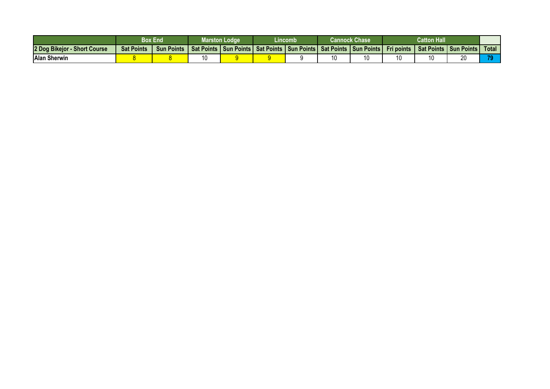|                                        |                   | Box End           | Marston Lodge                                     | (incomb |    | Cannock Chase           | <b>Catton Hall</b> |                   |                |              |
|----------------------------------------|-------------------|-------------------|---------------------------------------------------|---------|----|-------------------------|--------------------|-------------------|----------------|--------------|
| 2 Dog Bikejor -<br><b>Short Course</b> | <b>Sat Points</b> | <b>Sun Points</b> | Sat Points   Sun Points   Sat Points   Sun Points |         |    | Sat Points   Sun Points | <b>Fri points</b>  | <b>Sat Points</b> | I Sun Points I | <b>Total</b> |
| <b>Alan Sherwin</b>                    |                   |                   |                                                   |         | 10 | 10                      | 10                 |                   | nn<br>∠        | 70           |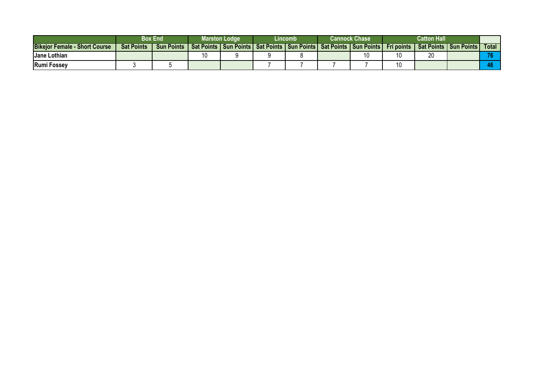|                                      | Box End           |                   | Marston Lodge     |                | Lincomb |  | Cannock Chase I |                                                         | <b>Catton Hall</b> |              |              |       |
|--------------------------------------|-------------------|-------------------|-------------------|----------------|---------|--|-----------------|---------------------------------------------------------|--------------------|--------------|--------------|-------|
| <b>Bikeior Female - Short Course</b> | <b>Sat Points</b> | <b>Sun Points</b> | <b>Sat Points</b> | J Sun Points L |         |  |                 | I Sat Points   Sun Points   Sat Points   Sun Points   I | Fri points 1       | I Sat Points | l Sun Points | Total |
| Jane Lothian                         |                   |                   | 16                |                |         |  |                 |                                                         |                    | ۷J           |              |       |
| <b>Rumi Fossey</b>                   |                   |                   |                   |                |         |  |                 |                                                         |                    |              |              |       |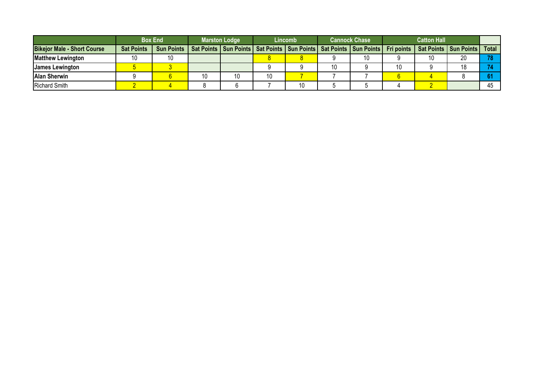|                                    | <b>Box End</b>    |                   | <b>Marston Lodge</b> |    |    | Lincomb |    | <b>Cannock Chase</b>                                                                                               |  |    |    |         |
|------------------------------------|-------------------|-------------------|----------------------|----|----|---------|----|--------------------------------------------------------------------------------------------------------------------|--|----|----|---------|
| <b>Bikejor Male - Short Course</b> | <b>Sat Points</b> | <b>Sun Points</b> |                      |    |    |         |    | Sat Points   Sun Points   Sat Points   Sun Points   Sat Points   Sun Points   Fri points   Sat Points   Sun Points |  |    |    | Total I |
| <b>Matthew Lewington</b>           | 10                | 10                |                      |    |    |         |    | 10                                                                                                                 |  | 10 | 20 | 70      |
| <b>James Lewington</b>             |                   |                   |                      |    |    |         | 10 |                                                                                                                    |  |    | 10 |         |
| <b>Alan Sherwin</b>                |                   |                   | 10                   | 10 | 10 |         |    |                                                                                                                    |  |    |    |         |
| <b>Richard Smith</b>               |                   |                   |                      |    |    | 10      |    |                                                                                                                    |  |    |    |         |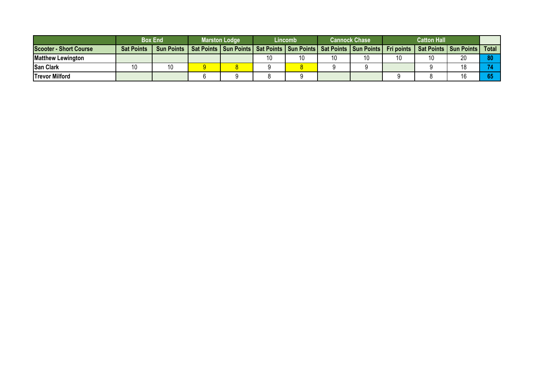|                               | <b>Box End</b>    |                   | <b>Marston Lodge</b> |  | Lincomb | <b>Cannock Chase</b> |                                                                             |  |    |                                      |       |
|-------------------------------|-------------------|-------------------|----------------------|--|---------|----------------------|-----------------------------------------------------------------------------|--|----|--------------------------------------|-------|
| <b>Scooter - Short Course</b> | <b>Sat Points</b> | <b>Sun Points</b> |                      |  |         |                      | Sat Points   Sun Points   Sat Points   Sun Points   Sat Points   Sun Points |  |    | Fri points   Sat Points   Sun Points | Total |
| <b>IMatthew Lewington</b>     |                   |                   |                      |  |         | 10                   | 10                                                                          |  | 10 | ററ                                   | 80    |
| <b>San Clark</b>              | 10                | 10                |                      |  |         |                      |                                                                             |  |    |                                      |       |
| <b>Trevor Milford</b>         |                   |                   |                      |  |         |                      |                                                                             |  |    |                                      |       |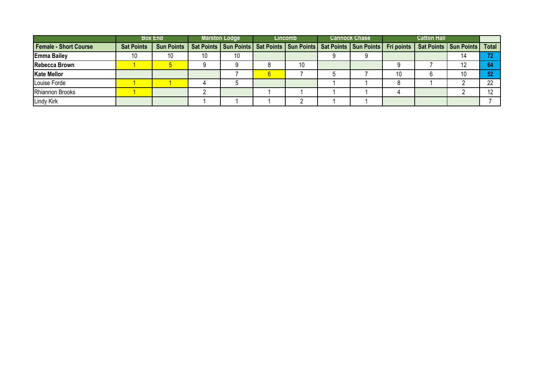|                              |                   | <b>Box End</b>                                                                                                                          |    | <b>Marston Lodge</b> | <b>Lincomb</b> | <b>Cannock Chase</b> | <b>Catton Hall</b> |    |     |
|------------------------------|-------------------|-----------------------------------------------------------------------------------------------------------------------------------------|----|----------------------|----------------|----------------------|--------------------|----|-----|
| <b>Female - Short Course</b> | <b>Sat Points</b> | Sun Points   Sat Points   Sun Points   Sat Points   Sun Points   Sat Points   Sun Points   Fri points   Sat Points   Sun Points   Total |    |                      |                |                      |                    |    |     |
| <b>Emma Bailey</b>           | 10                | 10                                                                                                                                      | 10 |                      |                |                      |                    |    | 70. |
| <b>Rebecca Brown</b>         |                   |                                                                                                                                         |    |                      | 10             |                      |                    |    | 64  |
| <b>Kate Mellor</b>           |                   |                                                                                                                                         |    |                      |                |                      |                    | 10 | 52  |
| Louise Forde                 |                   |                                                                                                                                         |    |                      |                |                      |                    |    | 22  |
| Rhiannon Brooks              |                   |                                                                                                                                         |    |                      |                |                      |                    |    | 10  |
| <b>Lindy Kirk</b>            |                   |                                                                                                                                         |    |                      |                |                      |                    |    |     |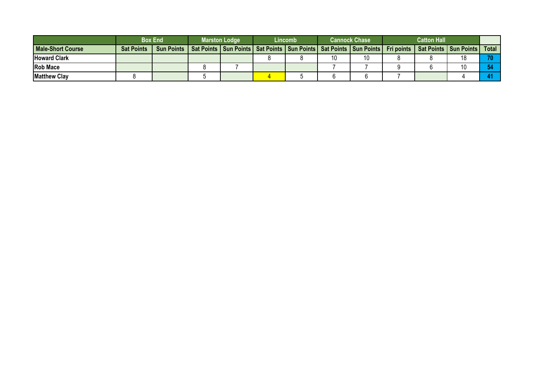|                          | <b>Box End</b>    |                   | <b>Marston Lodge</b> |                                                                             | Lincomb |    | <b>Cannock Chase</b> |  |                                               |       |
|--------------------------|-------------------|-------------------|----------------------|-----------------------------------------------------------------------------|---------|----|----------------------|--|-----------------------------------------------|-------|
| <b>Male-Short Course</b> | <b>Sat Points</b> | <b>Sun Points</b> |                      | Sat Points   Sun Points   Sat Points   Sun Points   Sat Points   Sun Points |         |    |                      |  | <b>Fri points   Sat Points   Sun Points  </b> | Total |
| <b>Howard Clark</b>      |                   |                   |                      |                                                                             |         | 10 | 10                   |  |                                               |       |
| <b>Rob Mace</b>          |                   |                   |                      |                                                                             |         |    |                      |  |                                               |       |
| <b>IMatthew Clav</b>     |                   |                   |                      |                                                                             |         |    |                      |  |                                               |       |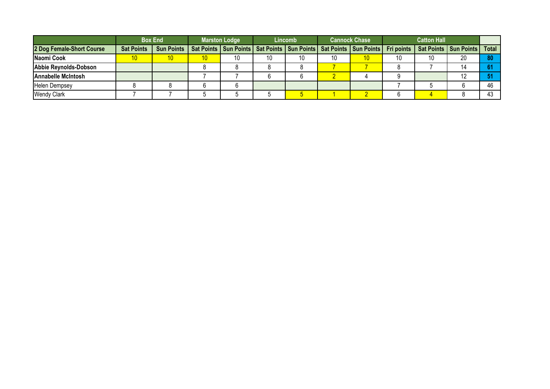|                           |                   | <b>Box End</b> | <b>Marston Lodge</b> |    |    | Lincomb | <b>Cannock Chase</b> |    | <b>Catton Hall</b> |    |                                                                                                                            |    |
|---------------------------|-------------------|----------------|----------------------|----|----|---------|----------------------|----|--------------------|----|----------------------------------------------------------------------------------------------------------------------------|----|
| 2 Dog Female-Short Course | <b>Sat Points</b> | Sun Points     |                      |    |    |         |                      |    |                    |    | Sat Points   Sun Points   Sat Points   Sun Points   Sat Points   Sun Points   Fri points   Sat Points   Sun Points   Total |    |
| Naomi Cook                | 10                |                | 10                   | 10 | 10 | 10      | 10                   | 10 | 10                 | 10 | 20                                                                                                                         | 80 |
| Abbie Reynolds-Dobson     |                   |                |                      |    |    |         |                      |    |                    |    |                                                                                                                            |    |
| <b>Annabelle McIntosh</b> |                   |                |                      |    |    |         |                      |    |                    |    |                                                                                                                            |    |
| <b>Helen Dempsey</b>      |                   |                |                      |    |    |         |                      |    |                    |    |                                                                                                                            | ៱  |
| <b>Wendy Clark</b>        |                   |                |                      |    |    |         |                      |    |                    |    |                                                                                                                            |    |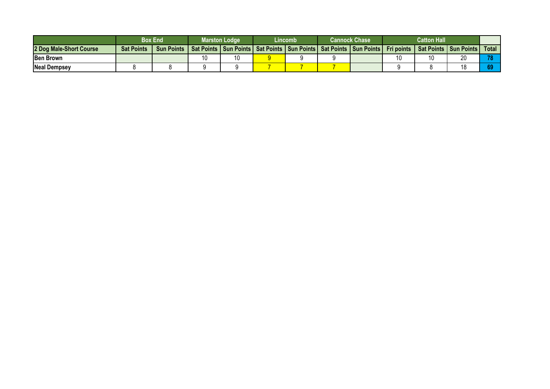|                         | Box End           |                   | Marston Lodge |  | Lincomb | Cannock Chase |                                                                             |  |    |                                      |       |
|-------------------------|-------------------|-------------------|---------------|--|---------|---------------|-----------------------------------------------------------------------------|--|----|--------------------------------------|-------|
| 2 Dog Male-Short Course | <b>Sat Points</b> | <b>Sun Points</b> |               |  |         |               | Sat Points   Sun Points   Sat Points   Sun Points   Sat Points   Sun Points |  |    | Fri points   Sat Points   Sun Points | Total |
| <b>IBen Brown</b>       |                   |                   | 10            |  |         |               |                                                                             |  | 10 | $\sim$                               |       |
| <b>Neal Dempsey</b>     |                   |                   |               |  |         |               |                                                                             |  |    |                                      |       |